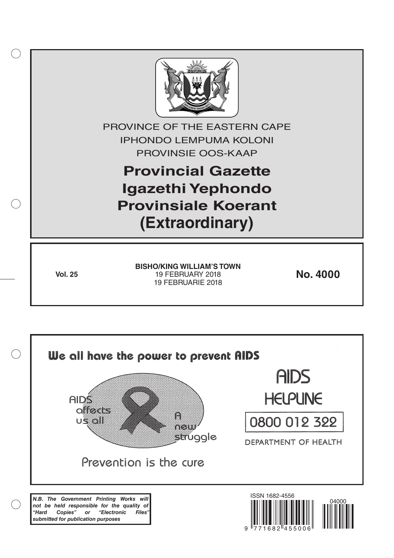

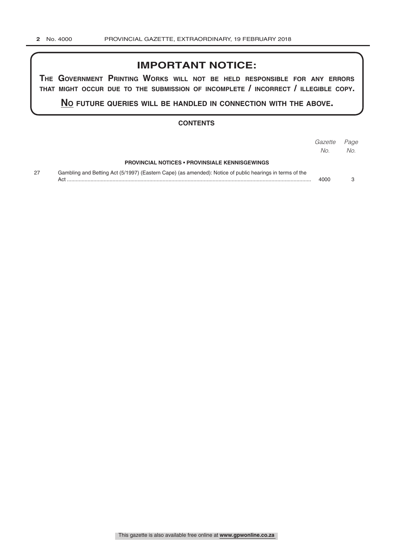# **IMPORTANT NOTICE:**

**The GovernmenT PrinTinG Works Will noT be held resPonsible for any errors ThaT miGhT occur due To The submission of incomPleTe / incorrecT / illeGible coPy.**

**no fuTure queries Will be handled in connecTion WiTh The above.**

# **CONTENTS**

|    |                                                                                                          | Gazette<br>No. | Page<br>No |
|----|----------------------------------------------------------------------------------------------------------|----------------|------------|
|    | <b>PROVINCIAL NOTICES • PROVINSIALE KENNISGEWINGS</b>                                                    |                |            |
| 27 | Gambling and Betting Act (5/1997) (Eastern Cape) (as amended): Notice of public hearings in terms of the | 4000           |            |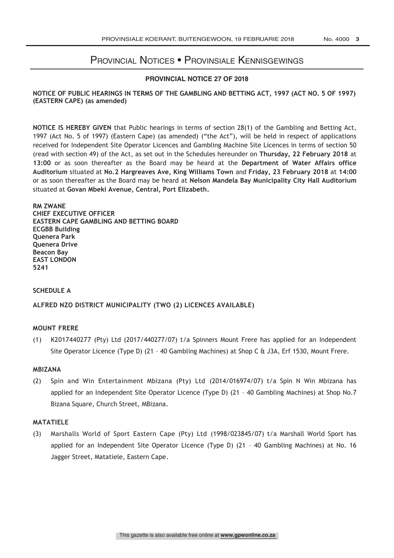# Provincial Notices • Provinsiale Kennisgewings

# **PROVINCIAL NOTICE 27 OF 2018**

# **NOTICE OF PUBLIC HEARINGS IN TERMS OF THE GAMBLING AND BETTING ACT, 1997 (ACT NO. 5 OF 1997) (EASTERN CAPE) (as amended)**

**NOTICE IS HEREBY GIVEN** that Public hearings in terms of section 28(1) of the Gambling and Betting Act, 1997 (Act No. 5 of 1997) (Eastern Cape) (as amended) ("the Act"), will be held in respect of applications received for Independent Site Operator Licences and Gambling Machine Site Licences in terms of section 50 (read with section 49) of the Act, as set out in the Schedules hereunder on **Thursday, 22 February 2018** at **13:00** or as soon thereafter as the Board may be heard at the **Department of Water Affairs office Auditorium** situated at **No.2 Hargreaves Ave, King Williams Town** and **Friday, 23 February 2018** at **14:00**  or as soon thereafter as the Board may be heard at **Nelson Mandela Bay Municipality City Hall Auditorium** situated at **Govan Mbeki Avenue, Central, Port Elizabeth.**

**RM ZWANE CHIEF EXECUTIVE OFFICER EASTERN CAPE GAMBLING AND BETTING BOARD ECGBB Building Quenera Park Quenera Drive Beacon Bay EAST LONDON 5241**

#### **SCHEDULE A**

**ALFRED NZO DISTRICT MUNICIPALITY (TWO (2) LICENCES AVAILABLE)**

#### **MOUNT FRERE**

(1) K2017440277 (Pty) Ltd (2017/440277/07) t/a Spinners Mount Frere has applied for an Independent Site Operator Licence (Type D) (21 – 40 Gambling Machines) at Shop C & J3A, Erf 1530, Mount Frere.

## **MBIZANA**

(2) Spin and Win Entertainment Mbizana (Pty) Ltd (2014/016974/07) t/a Spin N Win Mbizana has applied for an Independent Site Operator Licence (Type D) (21 – 40 Gambling Machines) at Shop No.7 Bizana Square, Church Street, MBizana.

#### **MATATIELE**

(3) Marshalls World of Sport Eastern Cape (Pty) Ltd (1998/023845/07) t/a Marshall World Sport has applied for an Independent Site Operator Licence (Type D) (21 – 40 Gambling Machines) at No. 16 Jagger Street, Matatiele, Eastern Cape.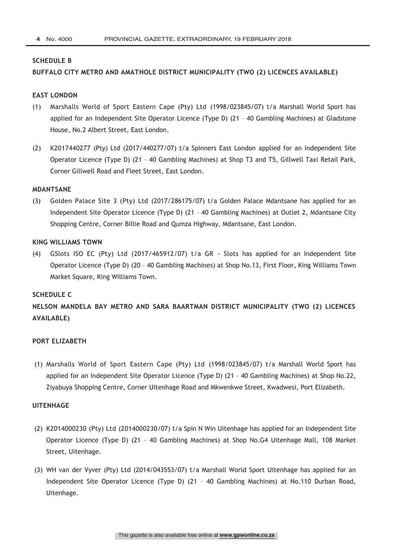#### **SCHEDULE B**

## **BUFFALO CITY METRO AND AMATHOLE DISTRICT MUNICIPALITY (TWO (2) LICENCES AVAILABLE)**

#### **EAST LONDON**

- (1) Marshalls World of Sport Eastern Cape (Pty) Ltd (1998/023845/07) t/a Marshall World Sport has applied for an Independent Site Operator Licence (Type D) (21 – 40 Gambling Machines) at Gladstone House, No.2 Albert Street, East London.
- (2) K2017440277 (Pty) Ltd (2017/440277/07) t/a Spinners East London applied for an Independent Site Operator Licence (Type D) (21 – 40 Gambling Machines) at Shop T3 and T5, Gillwell Taxi Retail Park, Corner Gillwell Road and Fleet Street, East London.

# **MDANTSANE**

(3) Golden Palace Site 3 (Pty) Ltd (2017/286175/07) t/a Golden Palace Mdantsane has applied for an Independent Site Operator Licence (Type D) (21 – 40 Gambling Machines) at Outlet 2, Mdantsane City Shopping Centre, Corner Billie Road and Qumza Highway, Mdantsane, East London.

#### **KING WILLIAMS TOWN**

(4) GSlots ISO EC (Pty) Ltd (2017/465912/07) t/a GR - Slots has applied for an Independent Site Operator Licence (Type D) (20 – 40 Gambling Machines) at Shop No.13, First Floor, King Williams Town Market Square, King Williams Town.

# **SCHEDULE C**

**NELSON MANDELA BAY METRO AND SARA BAARTMAN DISTRICT MUNICIPALITY (TWO (2) LICENCES AVAILABLE)**

#### **PORT ELIZABETH**

(1) Marshalls World of Sport Eastern Cape (Pty) Ltd (1998/023845/07) t/a Marshall World Sport has applied for an Independent Site Operator Licence (Type D) (21 – 40 Gambling Machines) at Shop No.22, Ziyabuya Shopping Centre, Corner Uitenhage Road and Mkwenkwe Street, Kwadwesi, Port Elizabeth.

#### **UITENHAGE**

- (2) K2014000230 (Pty) Ltd (2014000230/07) t/a Spin N Win Uitenhage has applied for an Independent Site Operator Licence (Type D) (21 – 40 Gambling Machines) at Shop No.G4 Uitenhage Mall, 108 Market Street, Uitenhage.
- (3) WH van der Vyver (Pty) Ltd (2014/043553/07) t/a Marshall World Sport Uitenhage has applied for an Independent Site Operator Licence (Type D) (21 – 40 Gambling Machines) at No.110 Durban Road, Uitenhage.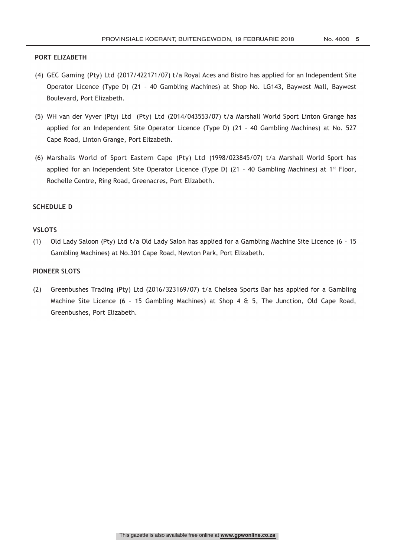#### **PORT ELIZABETH**

- (4) GEC Gaming (Pty) Ltd (2017/422171/07) t/a Royal Aces and Bistro has applied for an Independent Site Operator Licence (Type D) (21 – 40 Gambling Machines) at Shop No. LG143, Baywest Mall, Baywest Boulevard, Port Elizabeth.
- (5) WH van der Vyver (Pty) Ltd (Pty) Ltd (2014/043553/07) t/a Marshall World Sport Linton Grange has applied for an Independent Site Operator Licence (Type D) (21 – 40 Gambling Machines) at No. 527 Cape Road, Linton Grange, Port Elizabeth*.*
- (6) Marshalls World of Sport Eastern Cape (Pty) Ltd (1998/023845/07) t/a Marshall World Sport has applied for an Independent Site Operator Licence (Type D)  $(21 - 40$  Gambling Machines) at 1<sup>st</sup> Floor, Rochelle Centre, Ring Road, Greenacres, Port Elizabeth.

### **SCHEDULE D**

# **VSLOTS**

(1) Old Lady Saloon (Pty) Ltd t/a Old Lady Salon has applied for a Gambling Machine Site Licence (6 – 15 Gambling Machines) at No.301 Cape Road, Newton Park, Port Elizabeth.

# **PIONEER SLOTS**

(2) Greenbushes Trading (Pty) Ltd (2016/323169/07) t/a Chelsea Sports Bar has applied for a Gambling Machine Site Licence (6 – 15 Gambling Machines) at Shop 4 & 5, The Junction, Old Cape Road, Greenbushes, Port Elizabeth.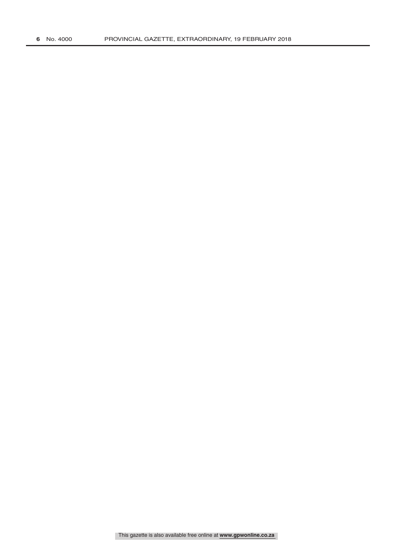This gazette is also available free online at **www.gpwonline.co.za**